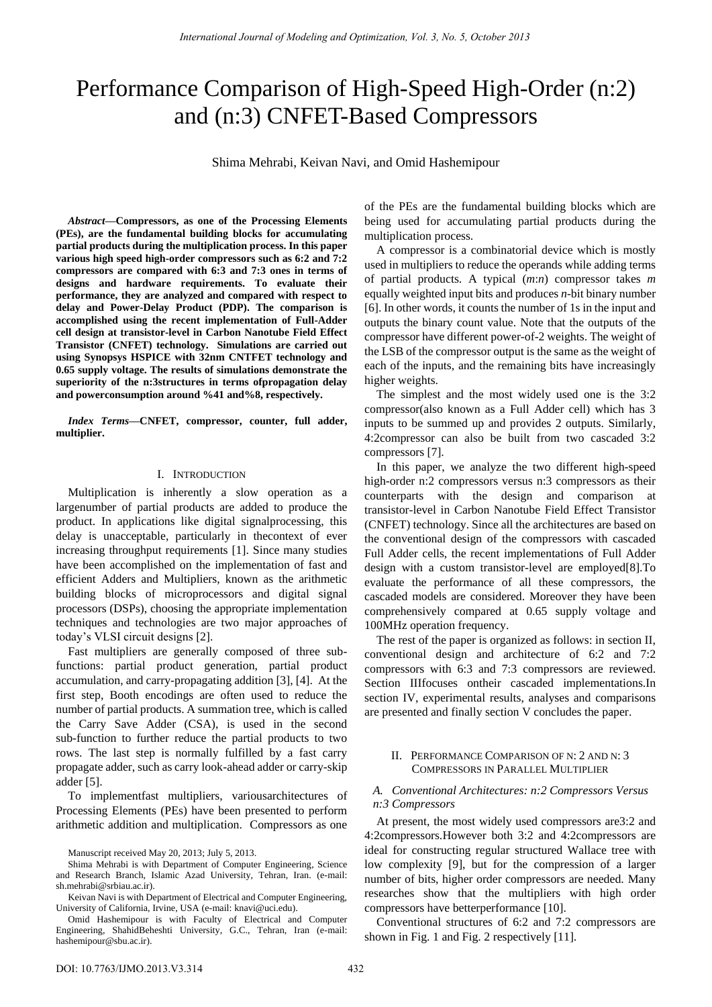# Performance Comparison of High-Speed High-Order (n:2) and (n:3) CNFET-Based Compressors

Shima Mehrabi, Keivan Navi, and Omid Hashemipour

*Abstract—***Compressors, as one of the Processing Elements (PEs), are the fundamental building blocks for accumulating partial products during the multiplication process. In this paper various high speed high-order compressors such as 6:2 and 7:2 compressors are compared with 6:3 and 7:3 ones in terms of designs and hardware requirements. To evaluate their performance, they are analyzed and compared with respect to delay and Power-Delay Product (PDP). The comparison is accomplished using the recent implementation of Full-Adder cell design at transistor-level in Carbon Nanotube Field Effect Transistor (CNFET) technology. Simulations are carried out using Synopsys HSPICE with 32nm CNTFET technology and 0.65 supply voltage. The results of simulations demonstrate the superiority of the n:3structures in terms ofpropagation delay and powerconsumption around %41 and%8, respectively.** 

*Index Terms—***CNFET, compressor, counter, full adder, multiplier.** 

### I. INTRODUCTION

Multiplication is inherently a slow operation as a largenumber of partial products are added to produce the product. In applications like digital signalprocessing, this delay is unacceptable, particularly in thecontext of ever increasing throughput requirements [1]. Since many studies have been accomplished on the implementation of fast and efficient Adders and Multipliers, known as the arithmetic building blocks of microprocessors and digital signal processors (DSPs), choosing the appropriate implementation techniques and technologies are two major approaches of today's VLSI circuit designs [2].

Fast multipliers are generally composed of three subfunctions: partial product generation, partial product accumulation, and carry-propagating addition [3], [4]. At the first step, Booth encodings are often used to reduce the number of partial products. A summation tree, which is called the Carry Save Adder (CSA), is used in the second sub-function to further reduce the partial products to two rows. The last step is normally fulfilled by a fast carry propagate adder, such as carry look-ahead adder or carry-skip adder [5].

To implementfast multipliers, variousarchitectures of Processing Elements (PEs) have been presented to perform arithmetic addition and multiplication. Compressors as one of the PEs are the fundamental building blocks which are being used for accumulating partial products during the multiplication process.

A compressor is a combinatorial device which is mostly used in multipliers to reduce the operands while adding terms of partial products. A typical (*m*:*n*) compressor takes *m* equally weighted input bits and produces *n*-bit binary number [6]. In other words, it counts the number of 1s in the input and outputs the binary count value. Note that the outputs of the compressor have different power-of-2 weights. The weight of the LSB of the compressor output is the same as the weight of each of the inputs, and the remaining bits have increasingly higher weights.

The simplest and the most widely used one is the 3:2 compressor(also known as a Full Adder cell) which has 3 inputs to be summed up and provides 2 outputs. Similarly, 4:2compressor can also be built from two cascaded 3:2 compressors [7].

In this paper, we analyze the two different high-speed high-order n:2 compressors versus n:3 compressors as their counterparts with the design and comparison at transistor-level in Carbon Nanotube Field Effect Transistor (CNFET) technology. Since all the architectures are based on the conventional design of the compressors with cascaded Full Adder cells, the recent implementations of Full Adder design with a custom transistor-level are employed[8].To evaluate the performance of all these compressors, the cascaded models are considered. Moreover they have been comprehensively compared at 0.65 supply voltage and 100MHz operation frequency.

The rest of the paper is organized as follows: in section II, conventional design and architecture of 6:2 and 7:2 compressors with 6:3 and 7:3 compressors are reviewed. Section IIIfocuses ontheir cascaded implementations.In section IV, experimental results, analyses and comparisons are presented and finally section V concludes the paper.

## II. PERFORMANCE COMPARISON OF N: 2 AND N: 3 COMPRESSORS IN PARALLEL MULTIPLIER

### *A. Conventional Architectures: n:2 Compressors Versus n:3 Compressors*

At present, the most widely used compressors are3:2 and 4:2compressors.However both 3:2 and 4:2compressors are ideal for constructing regular structured Wallace tree with low complexity [9], but for the compression of a larger number of bits, higher order compressors are needed. Many researches show that the multipliers with high order compressors have betterperformance [10].

Conventional structures of 6:2 and 7:2 compressors are shown in Fig. 1 and Fig. 2 respectively [11].

Manuscript received May 20, 2013; July 5, 2013.

Shima Mehrabi is with Department of Computer Engineering, Science and Research Branch, Islamic Azad University, Tehran, Iran. (e-mail: sh.mehrabi@srbiau.ac.ir).

Keivan Navi is with Department of Electrical and Computer Engineering, University of California, Irvine, USA (e-mail: knavi@uci.edu).

Omid Hashemipour is with Faculty of Electrical and Computer Engineering, ShahidBeheshti University, G.C., Tehran, Iran (e-mail: hashemipour@sbu.ac.ir).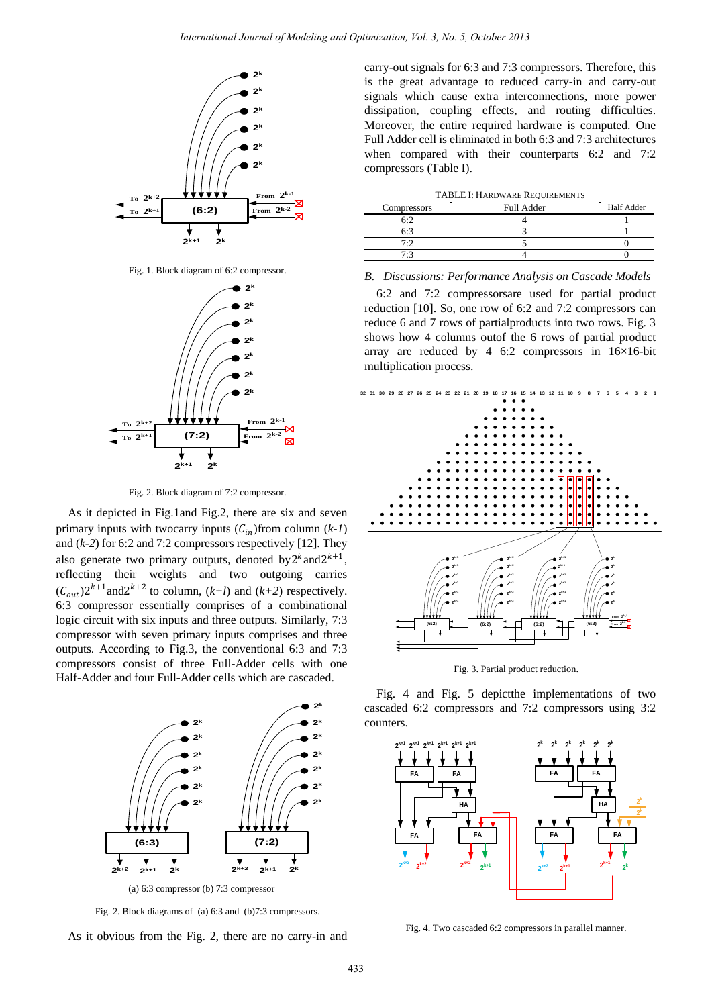

Fig. 1. Block diagram of 6:2 compressor.



Fig. 2. Block diagram of 7:2 compressor.

As it depicted in Fig.1and Fig.2, there are six and seven primary inputs with twocarry inputs  $(C_{in})$ from column  $(k-1)$ and (*k-2*) for 6:2 and 7:2 compressors respectively [12]. They also generate two primary outputs, denoted by  $2^k$  and  $2^{k+1}$ , reflecting their weights and two outgoing carries  $(C_{out})$ 2<sup>k+1</sup> and 2<sup>k+2</sup> to column, (*k+l*) and (*k+2*) respectively. 6:3 compressor essentially comprises of a combinational logic circuit with six inputs and three outputs. Similarly, 7:3 compressor with seven primary inputs comprises and three outputs. According to Fig.3, the conventional 6:3 and 7:3 compressors consist of three Full-Adder cells with one Half-Adder and four Full-Adder cells which are cascaded.



Fig. 2. Block diagrams of (a) 6:3 and (b)7:3 compressors.

As it obvious from the Fig. 2, there are no carry-in and

carry-out signals for 6:3 and 7:3 compressors. Therefore, this is the great advantage to reduced carry-in and carry-out signals which cause extra interconnections, more power dissipation, coupling effects, and routing difficulties. Moreover, the entire required hardware is computed. One Full Adder cell is eliminated in both 6:3 and 7:3 architectures when compared with their counterparts 6:2 and 7:2 compressors (Table I).

| Compressors | Full Adder | Half Adder |
|-------------|------------|------------|
|             |            |            |
|             |            |            |
| 7.1         |            |            |
|             |            |            |

*B. Discussions: Performance Analysis on Cascade Models* 

6:2 and 7:2 compressorsare used for partial product reduction [10]. So, one row of 6:2 and 7:2 compressors can reduce 6 and 7 rows of partialproducts into two rows. Fig. 3 shows how 4 columns outof the 6 rows of partial product array are reduced by 4 6:2 compressors in  $16\times16$ -bit multiplication process.



Fig. 3. Partial product reduction.

Fig. 4 and Fig. 5 depictthe implementations of two cascaded 6:2 compressors and 7:2 compressors using 3:2 counters.



Fig. 4. Two cascaded 6:2 compressors in parallel manner.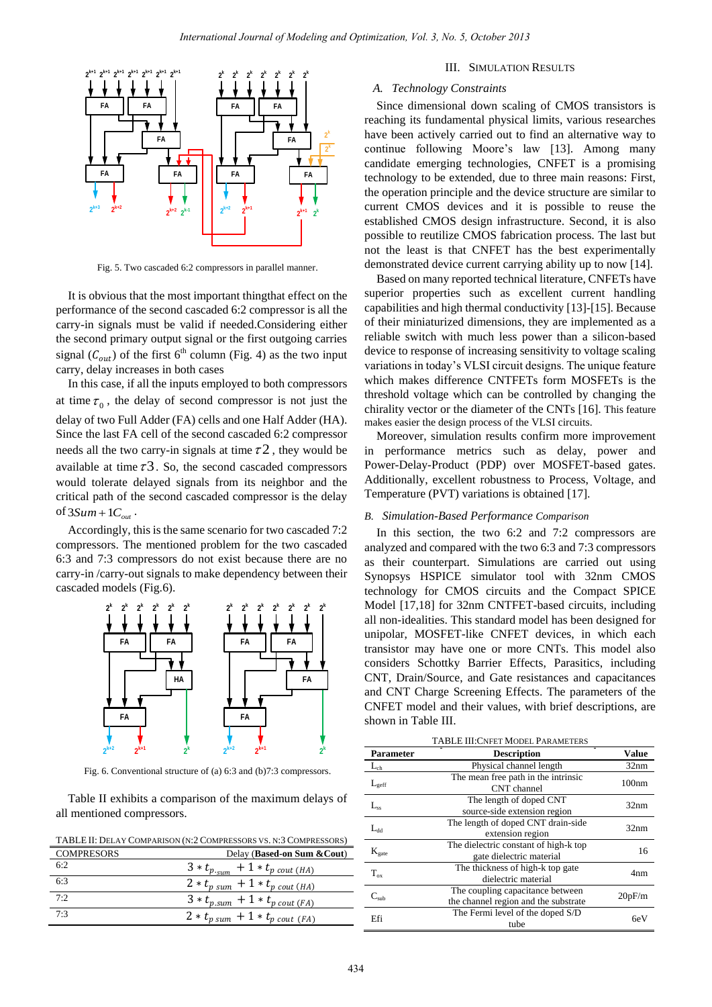

Fig. 5. Two cascaded 6:2 compressors in parallel manner.

It is obvious that the most important thingthat effect on the performance of the second cascaded 6:2 compressor is all the carry-in signals must be valid if needed.Considering either the second primary output signal or the first outgoing carries signal  $(C_{out})$  of the first 6<sup>th</sup> column (Fig. 4) as the two input carry, delay increases in both cases

In this case, if all the inputs employed to both compressors at time  $\tau_0$ , the delay of second compressor is not just the delay of two Full Adder (FA) cells and one Half Adder (HA). Since the last FA cell of the second cascaded 6:2 compressor needs all the two carry-in signals at time  $\tau$ 2, they would be available at time  $\tau$ 3. So, the second cascaded compressors would tolerate delayed signals from its neighbor and the critical path of the second cascaded compressor is the delay of  $3Sum + 1C_{out}$ .

Accordingly, this is the same scenario for two cascaded 7:2 compressors. The mentioned problem for the two cascaded 6:3 and 7:3 compressors do not exist because there are no carry-in /carry-out signals to make dependency between their cascaded models (Fig.6).



Fig. 6. Conventional structure of (a) 6:3 and (b)7:3 compressors.

Table II exhibits a comparison of the maximum delays of all mentioned compressors.

| TABLE II: DELAY COMPARISON (N:2 COMPRESSORS VS. N:3 COMPRESSORS) |                                           |  |
|------------------------------------------------------------------|-------------------------------------------|--|
| <b>COMPRESORS</b>                                                | Delay (Based-on Sum & Cout)               |  |
| 6:2                                                              | $3 * t_{p_{sum}} + 1 * t_{p_{cout (HA)}}$ |  |
| 6.3                                                              | $2 * t_{p sum} + 1 * t_{p count (HA)}$    |  |
| 7:2                                                              | $3 * t_{p.sum} + 1 * t_{p cout (FA)}$     |  |
| 7.3                                                              | $2 * t_{p sum} + 1 * t_{p count (FA)}$    |  |

#### III. SIMULATION RESULTS

### *A. Technology Constraints*

Since dimensional down scaling of CMOS transistors is reaching its fundamental physical limits, various researches have been actively carried out to find an alternative way to continue following Moore's law [13]. Among many candidate emerging technologies, CNFET is a promising technology to be extended, due to three main reasons: First, the operation principle and the device structure are similar to current CMOS devices and it is possible to reuse the established CMOS design infrastructure. Second, it is also possible to reutilize CMOS fabrication process. The last but not the least is that CNFET has the best experimentally demonstrated device current carrying ability up to now [14].

Based on many reported technical literature, CNFETs have superior properties such as excellent current handling capabilities and high thermal conductivity [13]-[15]. Because of their miniaturized dimensions, they are implemented as a reliable switch with much less power than a silicon-based device to response of increasing sensitivity to voltage scaling variations in today's VLSI circuit designs. The unique feature which makes difference CNTFETs form MOSFETs is the threshold voltage which can be controlled by changing the chirality vector or the diameter of the CNTs [16]. This feature makes easier the design process of the VLSI circuits.

Moreover, simulation results confirm more improvement in performance metrics such as delay, power and Power-Delay-Product (PDP) over MOSFET-based gates. Additionally, excellent robustness to Process, Voltage, and Temperature (PVT) variations is obtained [17].

## *B. Simulation-Based Performance Comparison*

In this section, the two 6:2 and 7:2 compressors are analyzed and compared with the two 6:3 and 7:3 compressors as their counterpart. Simulations are carried out using Synopsys HSPICE simulator tool with 32nm CMOS technology for CMOS circuits and the Compact SPICE Model [17,18] for 32nm CNTFET-based circuits, including all non-idealities. This standard model has been designed for unipolar, MOSFET-like CNFET devices, in which each transistor may have one or more CNTs. This model also considers Schottky Barrier Effects, Parasitics, including CNT, Drain/Source, and Gate resistances and capacitances and CNT Charge Screening Effects. The parameters of the CNFET model and their values, with brief descriptions, are shown in Table III.

| <b>TABLE III: CNFET MODEL PARAMETERS</b> |                                                                          |              |  |
|------------------------------------------|--------------------------------------------------------------------------|--------------|--|
| <b>Parameter</b>                         | <b>Description</b>                                                       | <b>Value</b> |  |
| -ch                                      | Physical channel length                                                  | 32nm         |  |
| $L_{\text{geff}}$                        | The mean free path in the intrinsic<br>CNT channel                       | 100nm        |  |
| $L_{ss}$                                 | The length of doped CNT<br>source-side extension region                  | 32nm         |  |
| $L_{dd}$                                 | The length of doped CNT drain-side<br>extension region                   | 32nm         |  |
| $K_{gate}$                               | The dielectric constant of high-k top<br>gate dielectric material        | 16           |  |
| $T_{ox}$                                 | The thickness of high-k top gate<br>dielectric material                  | 4nm          |  |
| $\mathrm{C_{sub}}$                       | The coupling capacitance between<br>the channel region and the substrate | 20pF/m       |  |
| Efi                                      | The Fermi level of the doped S/D<br>tube                                 | 6eV          |  |